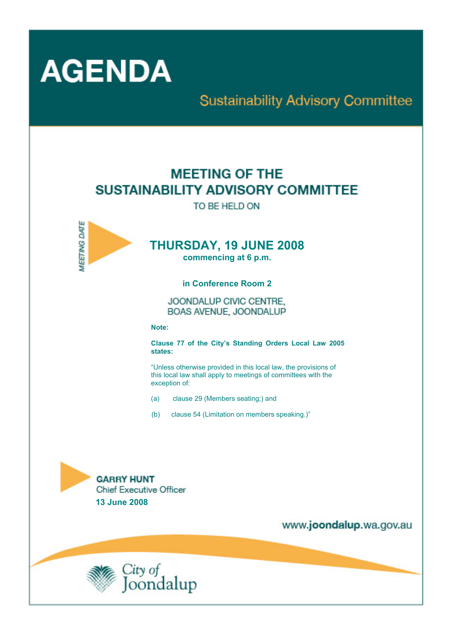

# **Sustainability Advisory Committee**

# **MEETING OF THE** SUSTAINABILITY ADVISORY COMMITTEE

TO BE HELD ON



# **THURSDAY, 19 JUNE 2008**

**commencing at 6 p.m.** 

**in Conference Room 2** 

JOONDALUP CIVIC CENTRE. BOAS AVENUE, JOONDALUP

**Note:** 

**Clause 77 of the City's Standing Orders Local Law 2005 states:** 

"Unless otherwise provided in this local law, the provisions of this local law shall apply to meetings of committees with the exception of:

- (a) clause 29 (Members seating;) and
- (b) clause 54 (Limitation on members speaking.)"



www.joondalup.wa.gov.au

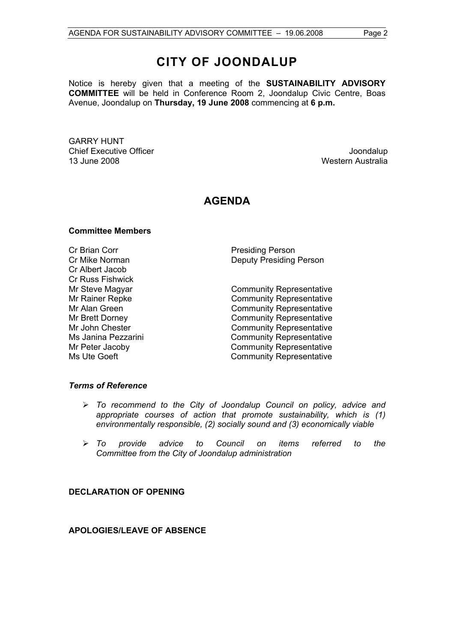Notice is hereby given that a meeting of the **SUSTAINABILITY ADVISORY COMMITTEE** will be held in Conference Room 2, Joondalup Civic Centre, Boas Avenue, Joondalup on **Thursday, 19 June 2008** commencing at **6 p.m.** 

GARRY HUNT **Chief Executive Officer Chief Executive Officer Joseph According to the Chief Executive Officer Joondalup** 13 June 2008 Western Australia

## **AGENDA**

#### **Committee Members**

Cr Brian Corr **Presiding Person** Cr Albert Jacob Cr Russ Fishwick

Cr Mike Norman Deputy Presiding Person

Mr Steve Magyar **Community Representative** Mr Rainer Repke Community Representative Mr Alan Green **Community Representative** Mr Brett Dorney **Community Representative** Mr John Chester **Community Representative** Ms Janina Pezzarini **Community Representative** Mr Peter Jacoby **Community Representative** Ms Ute Goeft Community Representative

#### *Terms of Reference*

- ¾ *To recommend to the City of Joondalup Council on policy, advice and appropriate courses of action that promote sustainability, which is (1) environmentally responsible, (2) socially sound and (3) economically viable*
- ¾ *To provide advice to Council on items referred to the Committee from the City of Joondalup administration*

#### **DECLARATION OF OPENING**

**APOLOGIES/LEAVE OF ABSENCE**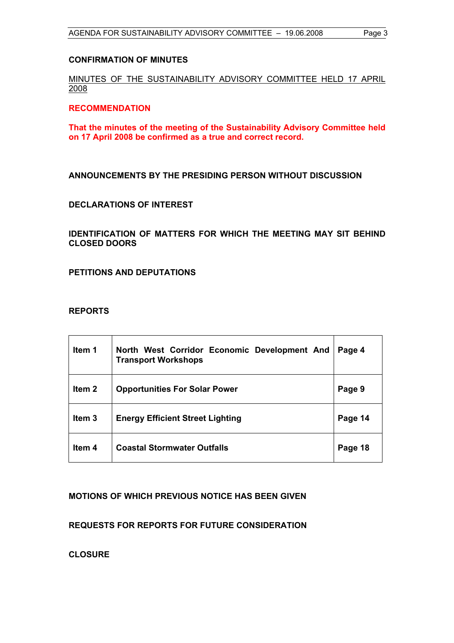#### **CONFIRMATION OF MINUTES**

### MINUTES OF THE SUSTAINABILITY ADVISORY COMMITTEE HELD 17 APRIL 2008

#### **RECOMMENDATION**

**That the minutes of the meeting of the Sustainability Advisory Committee held on 17 April 2008 be confirmed as a true and correct record.** 

#### **ANNOUNCEMENTS BY THE PRESIDING PERSON WITHOUT DISCUSSION**

#### **DECLARATIONS OF INTEREST**

**IDENTIFICATION OF MATTERS FOR WHICH THE MEETING MAY SIT BEHIND CLOSED DOORS** 

**PETITIONS AND DEPUTATIONS** 

#### **REPORTS**

| Item 1            | North West Corridor Economic Development And<br><b>Transport Workshops</b> | Page 4  |
|-------------------|----------------------------------------------------------------------------|---------|
| Item <sub>2</sub> | <b>Opportunities For Solar Power</b>                                       | Page 9  |
| Item <sub>3</sub> | <b>Energy Efficient Street Lighting</b>                                    | Page 14 |
| Item <sub>4</sub> | <b>Coastal Stormwater Outfalls</b>                                         | Page 18 |

#### **MOTIONS OF WHICH PREVIOUS NOTICE HAS BEEN GIVEN**

**REQUESTS FOR REPORTS FOR FUTURE CONSIDERATION** 

**CLOSURE**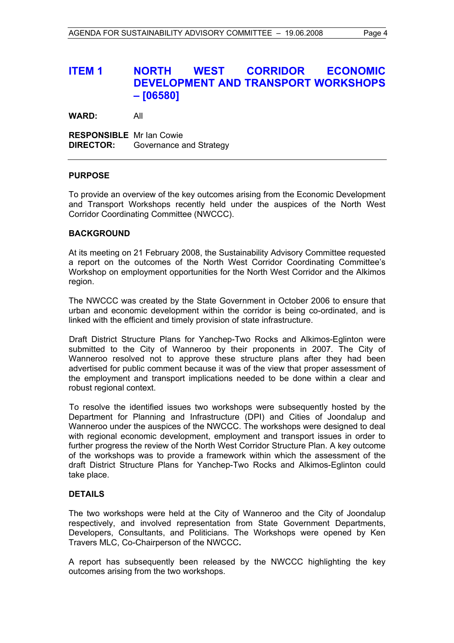## **ITEM 1 NORTH WEST CORRIDOR ECONOMIC DEVELOPMENT AND TRANSPORT WORKSHOPS – [06580]**

**WARD:** All

**RESPONSIBLE** Mr Ian Cowie **DIRECTOR:** Governance and Strategy

#### **PURPOSE**

To provide an overview of the key outcomes arising from the Economic Development and Transport Workshops recently held under the auspices of the North West Corridor Coordinating Committee (NWCCC).

#### **BACKGROUND**

At its meeting on 21 February 2008, the Sustainability Advisory Committee requested a report on the outcomes of the North West Corridor Coordinating Committee's Workshop on employment opportunities for the North West Corridor and the Alkimos region.

The NWCCC was created by the State Government in October 2006 to ensure that urban and economic development within the corridor is being co-ordinated, and is linked with the efficient and timely provision of state infrastructure.

Draft District Structure Plans for Yanchep-Two Rocks and Alkimos-Eglinton were submitted to the City of Wanneroo by their proponents in 2007. The City of Wanneroo resolved not to approve these structure plans after they had been advertised for public comment because it was of the view that proper assessment of the employment and transport implications needed to be done within a clear and robust regional context.

To resolve the identified issues two workshops were subsequently hosted by the Department for Planning and Infrastructure (DPI) and Cities of Joondalup and Wanneroo under the auspices of the NWCCC. The workshops were designed to deal with regional economic development, employment and transport issues in order to further progress the review of the North West Corridor Structure Plan. A key outcome of the workshops was to provide a framework within which the assessment of the draft District Structure Plans for Yanchep-Two Rocks and Alkimos-Eglinton could take place.

#### **DETAILS**

The two workshops were held at the City of Wanneroo and the City of Joondalup respectively, and involved representation from State Government Departments, Developers, Consultants, and Politicians. The Workshops were opened by Ken Travers MLC, Co-Chairperson of the NWCCC**.** 

A report has subsequently been released by the NWCCC highlighting the key outcomes arising from the two workshops.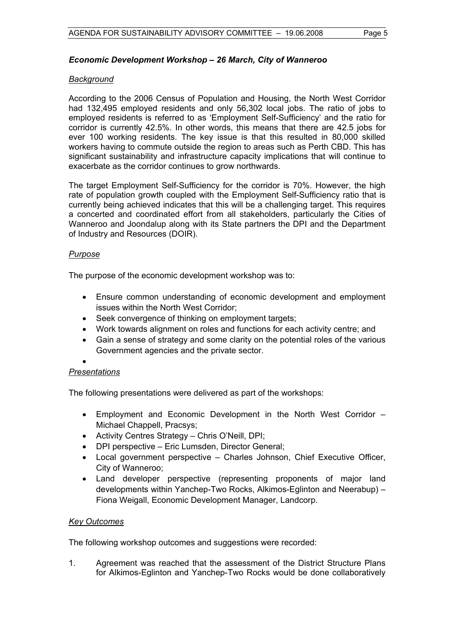#### *Economic Development Workshop – 26 March, City of Wanneroo*

#### *Background*

According to the 2006 Census of Population and Housing, the North West Corridor had 132,495 employed residents and only 56,302 local jobs. The ratio of jobs to employed residents is referred to as 'Employment Self-Sufficiency' and the ratio for corridor is currently 42.5%. In other words, this means that there are 42.5 jobs for ever 100 working residents. The key issue is that this resulted in 80,000 skilled workers having to commute outside the region to areas such as Perth CBD. This has significant sustainability and infrastructure capacity implications that will continue to exacerbate as the corridor continues to grow northwards.

The target Employment Self-Sufficiency for the corridor is 70%. However, the high rate of population growth coupled with the Employment Self-Sufficiency ratio that is currently being achieved indicates that this will be a challenging target. This requires a concerted and coordinated effort from all stakeholders, particularly the Cities of Wanneroo and Joondalup along with its State partners the DPI and the Department of Industry and Resources (DOIR).

#### *Purpose*

The purpose of the economic development workshop was to:

- Ensure common understanding of economic development and employment issues within the North West Corridor;
- Seek convergence of thinking on employment targets;
- Work towards alignment on roles and functions for each activity centre; and
- Gain a sense of strategy and some clarity on the potential roles of the various Government agencies and the private sector.

#### • *Presentations*

The following presentations were delivered as part of the workshops:

- Employment and Economic Development in the North West Corridor Michael Chappell, Pracsys;
- Activity Centres Strategy Chris O'Neill, DPI;
- DPI perspective Eric Lumsden, Director General;
- Local government perspective Charles Johnson, Chief Executive Officer, City of Wanneroo;
- Land developer perspective (representing proponents of major land developments within Yanchep-Two Rocks, Alkimos-Eglinton and Neerabup) – Fiona Weigall, Economic Development Manager, Landcorp.

#### *Key Outcomes*

The following workshop outcomes and suggestions were recorded:

1. Agreement was reached that the assessment of the District Structure Plans for Alkimos-Eglinton and Yanchep-Two Rocks would be done collaboratively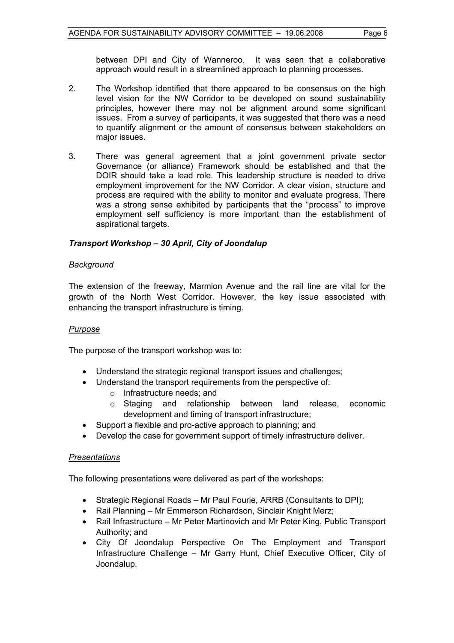between DPI and City of Wanneroo. It was seen that a collaborative approach would result in a streamlined approach to planning processes.

- 2. The Workshop identified that there appeared to be consensus on the high level vision for the NW Corridor to be developed on sound sustainability principles, however there may not be alignment around some significant issues. From a survey of participants, it was suggested that there was a need to quantify alignment or the amount of consensus between stakeholders on major issues.
- 3. There was general agreement that a joint government private sector Governance (or alliance) Framework should be established and that the DOIR should take a lead role. This leadership structure is needed to drive employment improvement for the NW Corridor. A clear vision, structure and process are required with the ability to monitor and evaluate progress. There was a strong sense exhibited by participants that the "process" to improve employment self sufficiency is more important than the establishment of aspirational targets.

### *Transport Workshop – 30 April, City of Joondalup*

#### *Background*

The extension of the freeway, Marmion Avenue and the rail line are vital for the growth of the North West Corridor. However, the key issue associated with enhancing the transport infrastructure is timing.

#### *Purpose*

The purpose of the transport workshop was to:

- Understand the strategic regional transport issues and challenges;
- Understand the transport requirements from the perspective of:
	- o Infrastructure needs; and
	- o Staging and relationship between land release, economic development and timing of transport infrastructure;
- Support a flexible and pro-active approach to planning; and
- Develop the case for government support of timely infrastructure deliver.

#### *Presentations*

The following presentations were delivered as part of the workshops:

- Strategic Regional Roads Mr Paul Fourie, ARRB (Consultants to DPI);
- Rail Planning Mr Emmerson Richardson, Sinclair Knight Merz;
- Rail Infrastructure Mr Peter Martinovich and Mr Peter King, Public Transport Authority; and
- City Of Joondalup Perspective On The Employment and Transport Infrastructure Challenge – Mr Garry Hunt, Chief Executive Officer, City of Joondalup.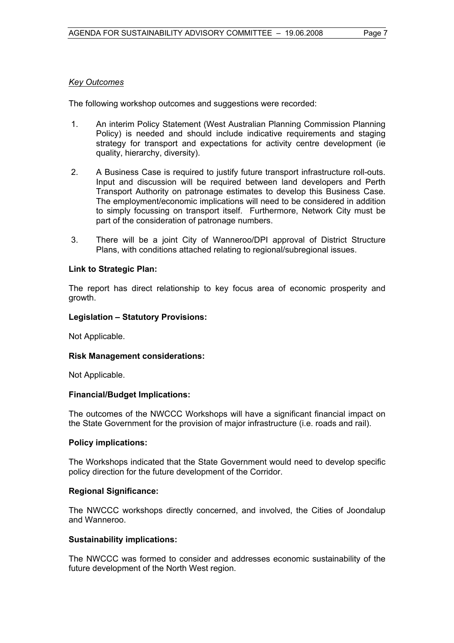#### *Key Outcomes*

The following workshop outcomes and suggestions were recorded:

- 1. An interim Policy Statement (West Australian Planning Commission Planning Policy) is needed and should include indicative requirements and staging strategy for transport and expectations for activity centre development (ie quality, hierarchy, diversity).
- 2. A Business Case is required to justify future transport infrastructure roll-outs. Input and discussion will be required between land developers and Perth Transport Authority on patronage estimates to develop this Business Case. The employment/economic implications will need to be considered in addition to simply focussing on transport itself. Furthermore, Network City must be part of the consideration of patronage numbers.
- 3. There will be a joint City of Wanneroo/DPI approval of District Structure Plans, with conditions attached relating to regional/subregional issues.

#### **Link to Strategic Plan:**

The report has direct relationship to key focus area of economic prosperity and growth.

#### **Legislation – Statutory Provisions:**

Not Applicable.

#### **Risk Management considerations:**

Not Applicable.

#### **Financial/Budget Implications:**

The outcomes of the NWCCC Workshops will have a significant financial impact on the State Government for the provision of major infrastructure (i.e. roads and rail).

#### **Policy implications:**

The Workshops indicated that the State Government would need to develop specific policy direction for the future development of the Corridor.

#### **Regional Significance:**

The NWCCC workshops directly concerned, and involved, the Cities of Joondalup and Wanneroo.

#### **Sustainability implications:**

The NWCCC was formed to consider and addresses economic sustainability of the future development of the North West region.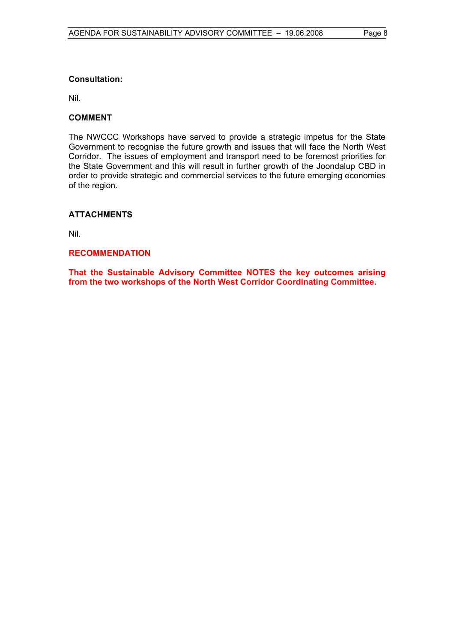#### **Consultation:**

Nil.

#### **COMMENT**

The NWCCC Workshops have served to provide a strategic impetus for the State Government to recognise the future growth and issues that will face the North West Corridor. The issues of employment and transport need to be foremost priorities for the State Government and this will result in further growth of the Joondalup CBD in order to provide strategic and commercial services to the future emerging economies of the region.

#### **ATTACHMENTS**

Nil.

#### **RECOMMENDATION**

**That the Sustainable Advisory Committee NOTES the key outcomes arising from the two workshops of the North West Corridor Coordinating Committee.**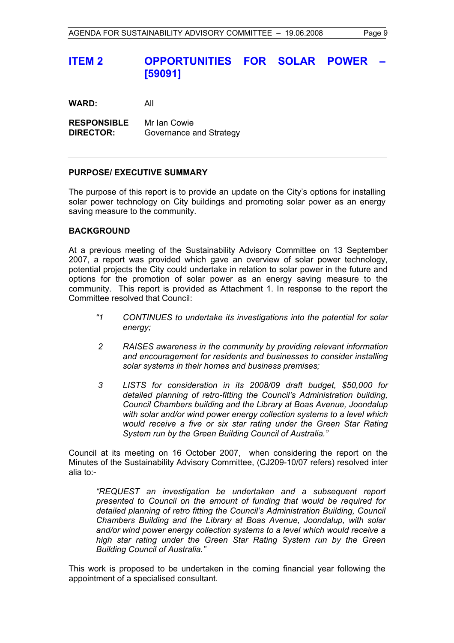## **ITEM 2 OPPORTUNITIES FOR SOLAR POWER [59091]**

**WARD:** All

**RESPONSIBLE** Mr Ian Cowie **DIRECTOR:** Governance and Strategy

#### **PURPOSE/ EXECUTIVE SUMMARY**

The purpose of this report is to provide an update on the City's options for installing solar power technology on City buildings and promoting solar power as an energy saving measure to the community.

#### **BACKGROUND**

At a previous meeting of the Sustainability Advisory Committee on 13 September 2007, a report was provided which gave an overview of solar power technology, potential projects the City could undertake in relation to solar power in the future and options for the promotion of solar power as an energy saving measure to the community. This report is provided as Attachment 1. In response to the report the Committee resolved that Council:

- *"1 CONTINUES to undertake its investigations into the potential for solar energy;*
- *2 RAISES awareness in the community by providing relevant information and encouragement for residents and businesses to consider installing solar systems in their homes and business premises;*
- *3 LISTS for consideration in its 2008/09 draft budget, \$50,000 for detailed planning of retro-fitting the Council's Administration building, Council Chambers building and the Library at Boas Avenue, Joondalup with solar and/or wind power energy collection systems to a level which would receive a five or six star rating under the Green Star Rating System run by the Green Building Council of Australia."*

Council at its meeting on 16 October 2007, when considering the report on the Minutes of the Sustainability Advisory Committee, (CJ209-10/07 refers) resolved inter alia to:-

*"REQUEST an investigation be undertaken and a subsequent report presented to Council on the amount of funding that would be required for detailed planning of retro fitting the Council's Administration Building, Council Chambers Building and the Library at Boas Avenue, Joondalup, with solar and/or wind power energy collection systems to a level which would receive a high star rating under the Green Star Rating System run by the Green Building Council of Australia."* 

This work is proposed to be undertaken in the coming financial year following the appointment of a specialised consultant.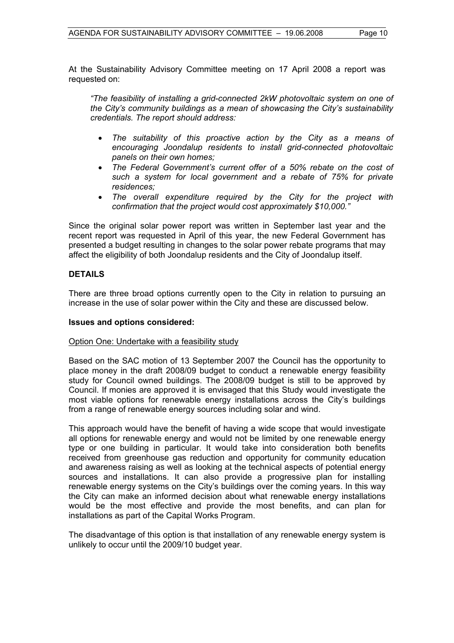At the Sustainability Advisory Committee meeting on 17 April 2008 a report was requested on:

*"The feasibility of installing a grid-connected 2kW photovoltaic system on one of the City's community buildings as a mean of showcasing the City's sustainability credentials. The report should address:* 

- *The suitability of this proactive action by the City as a means of encouraging Joondalup residents to install grid-connected photovoltaic panels on their own homes;*
- *The Federal Government's current offer of a 50% rebate on the cost of such a system for local government and a rebate of 75% for private residences;*
- *The overall expenditure required by the City for the project with confirmation that the project would cost approximately \$10,000."*

Since the original solar power report was written in September last year and the recent report was requested in April of this year, the new Federal Government has presented a budget resulting in changes to the solar power rebate programs that may affect the eligibility of both Joondalup residents and the City of Joondalup itself.

#### **DETAILS**

There are three broad options currently open to the City in relation to pursuing an increase in the use of solar power within the City and these are discussed below.

#### **Issues and options considered:**

#### Option One: Undertake with a feasibility study

Based on the SAC motion of 13 September 2007 the Council has the opportunity to place money in the draft 2008/09 budget to conduct a renewable energy feasibility study for Council owned buildings. The 2008/09 budget is still to be approved by Council. If monies are approved it is envisaged that this Study would investigate the most viable options for renewable energy installations across the City's buildings from a range of renewable energy sources including solar and wind.

This approach would have the benefit of having a wide scope that would investigate all options for renewable energy and would not be limited by one renewable energy type or one building in particular. It would take into consideration both benefits received from greenhouse gas reduction and opportunity for community education and awareness raising as well as looking at the technical aspects of potential energy sources and installations. It can also provide a progressive plan for installing renewable energy systems on the City's buildings over the coming years. In this way the City can make an informed decision about what renewable energy installations would be the most effective and provide the most benefits, and can plan for installations as part of the Capital Works Program.

The disadvantage of this option is that installation of any renewable energy system is unlikely to occur until the 2009/10 budget year.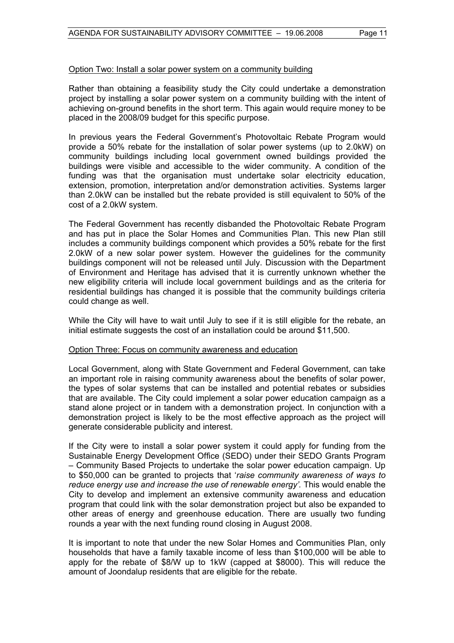#### Option Two: Install a solar power system on a community building

Rather than obtaining a feasibility study the City could undertake a demonstration project by installing a solar power system on a community building with the intent of achieving on-ground benefits in the short term. This again would require money to be placed in the 2008/09 budget for this specific purpose.

In previous years the Federal Government's Photovoltaic Rebate Program would provide a 50% rebate for the installation of solar power systems (up to 2.0kW) on community buildings including local government owned buildings provided the buildings were visible and accessible to the wider community. A condition of the funding was that the organisation must undertake solar electricity education, extension, promotion, interpretation and/or demonstration activities. Systems larger than 2.0kW can be installed but the rebate provided is still equivalent to 50% of the cost of a 2.0kW system.

The Federal Government has recently disbanded the Photovoltaic Rebate Program and has put in place the Solar Homes and Communities Plan. This new Plan still includes a community buildings component which provides a 50% rebate for the first 2.0kW of a new solar power system. However the guidelines for the community buildings component will not be released until July. Discussion with the Department of Environment and Heritage has advised that it is currently unknown whether the new eligibility criteria will include local government buildings and as the criteria for residential buildings has changed it is possible that the community buildings criteria could change as well.

While the City will have to wait until July to see if it is still eligible for the rebate, an initial estimate suggests the cost of an installation could be around \$11,500.

#### Option Three: Focus on community awareness and education

Local Government, along with State Government and Federal Government, can take an important role in raising community awareness about the benefits of solar power, the types of solar systems that can be installed and potential rebates or subsidies that are available. The City could implement a solar power education campaign as a stand alone project or in tandem with a demonstration project. In conjunction with a demonstration project is likely to be the most effective approach as the project will generate considerable publicity and interest.

If the City were to install a solar power system it could apply for funding from the Sustainable Energy Development Office (SEDO) under their SEDO Grants Program – Community Based Projects to undertake the solar power education campaign. Up to \$50,000 can be granted to projects that '*raise community awareness of ways to reduce energy use and increase the use of renewable energy'.* This would enable the City to develop and implement an extensive community awareness and education program that could link with the solar demonstration project but also be expanded to other areas of energy and greenhouse education. There are usually two funding rounds a year with the next funding round closing in August 2008.

It is important to note that under the new Solar Homes and Communities Plan, only households that have a family taxable income of less than \$100,000 will be able to apply for the rebate of \$8/W up to 1kW (capped at \$8000). This will reduce the amount of Joondalup residents that are eligible for the rebate.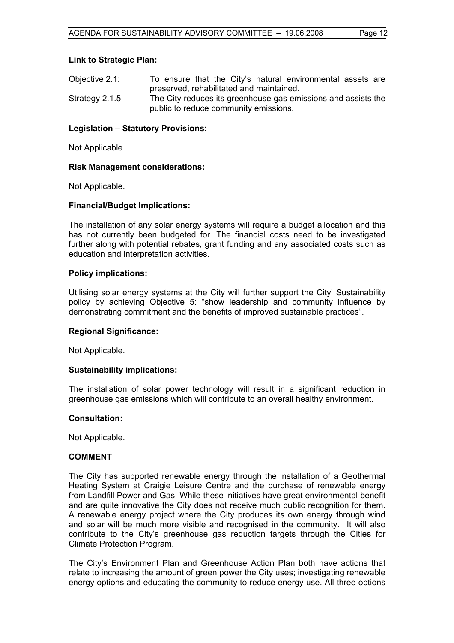#### **Link to Strategic Plan:**

| Objective 2.1:     | To ensure that the City's natural environmental assets are    |
|--------------------|---------------------------------------------------------------|
|                    | preserved, rehabilitated and maintained.                      |
| Strategy $2.1.5$ : | The City reduces its greenhouse gas emissions and assists the |
|                    | public to reduce community emissions.                         |

#### **Legislation – Statutory Provisions:**

Not Applicable.

#### **Risk Management considerations:**

Not Applicable.

#### **Financial/Budget Implications:**

The installation of any solar energy systems will require a budget allocation and this has not currently been budgeted for. The financial costs need to be investigated further along with potential rebates, grant funding and any associated costs such as education and interpretation activities.

#### **Policy implications:**

Utilising solar energy systems at the City will further support the City' Sustainability policy by achieving Objective 5: "show leadership and community influence by demonstrating commitment and the benefits of improved sustainable practices".

#### **Regional Significance:**

Not Applicable.

#### **Sustainability implications:**

The installation of solar power technology will result in a significant reduction in greenhouse gas emissions which will contribute to an overall healthy environment.

#### **Consultation:**

Not Applicable.

#### **COMMENT**

The City has supported renewable energy through the installation of a Geothermal Heating System at Craigie Leisure Centre and the purchase of renewable energy from Landfill Power and Gas. While these initiatives have great environmental benefit and are quite innovative the City does not receive much public recognition for them. A renewable energy project where the City produces its own energy through wind and solar will be much more visible and recognised in the community. It will also contribute to the City's greenhouse gas reduction targets through the Cities for Climate Protection Program.

The City's Environment Plan and Greenhouse Action Plan both have actions that relate to increasing the amount of green power the City uses; investigating renewable energy options and educating the community to reduce energy use. All three options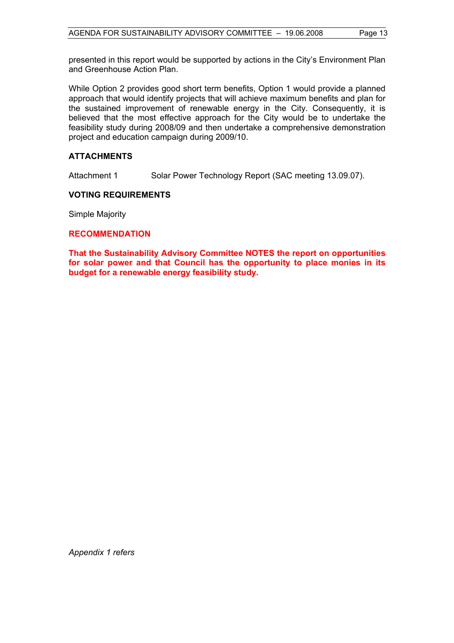presented in this report would be supported by actions in the City's Environment Plan and Greenhouse Action Plan.

While Option 2 provides good short term benefits, Option 1 would provide a planned approach that would identify projects that will achieve maximum benefits and plan for the sustained improvement of renewable energy in the City. Consequently, it is believed that the most effective approach for the City would be to undertake the feasibility study during 2008/09 and then undertake a comprehensive demonstration project and education campaign during 2009/10.

#### **ATTACHMENTS**

Attachment 1 Solar Power Technology Report (SAC meeting 13.09.07).

#### **VOTING REQUIREMENTS**

Simple Majority

#### **RECOMMENDATION**

**That the Sustainability Advisory Committee NOTES the report on opportunities for solar power and that Council has the opportunity to place monies in its budget for a renewable energy feasibility study.** 

*Appendix 1 refers*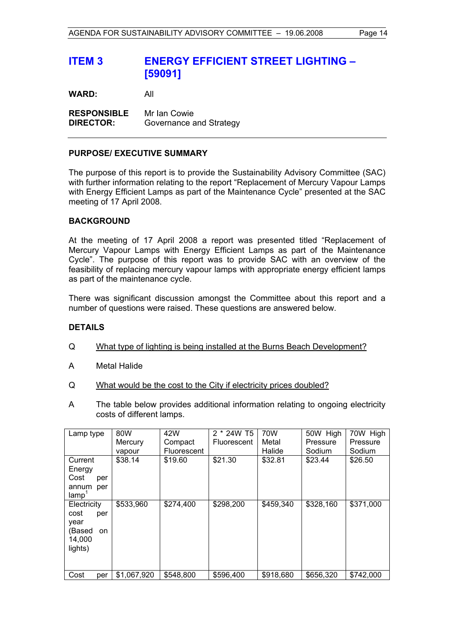## **ITEM 3 ENERGY EFFICIENT STREET LIGHTING – [59091]**

**WARD:** All

**RESPONSIBLE** Mr Ian Cowie **DIRECTOR:** Governance and Strategy

#### **PURPOSE/ EXECUTIVE SUMMARY**

The purpose of this report is to provide the Sustainability Advisory Committee (SAC) with further information relating to the report "Replacement of Mercury Vapour Lamps with Energy Efficient Lamps as part of the Maintenance Cycle" presented at the SAC meeting of 17 April 2008.

#### **BACKGROUND**

At the meeting of 17 April 2008 a report was presented titled "Replacement of Mercury Vapour Lamps with Energy Efficient Lamps as part of the Maintenance Cycle". The purpose of this report was to provide SAC with an overview of the feasibility of replacing mercury vapour lamps with appropriate energy efficient lamps as part of the maintenance cycle.

There was significant discussion amongst the Committee about this report and a number of questions were raised. These questions are answered below.

#### **DETAILS**

- Q What type of lighting is being installed at the Burns Beach Development?
- A Metal Halide
- Q What would be the cost to the City if electricity prices doubled?
- A The table below provides additional information relating to ongoing electricity costs of different lamps.

| Lamp type                                                               | 80W         | 42W                | 2 * 24W T5         | 70W       | 50W High  | 70W High  |
|-------------------------------------------------------------------------|-------------|--------------------|--------------------|-----------|-----------|-----------|
|                                                                         | Mercury     | Compact            | <b>Fluorescent</b> | Metal     | Pressure  | Pressure  |
|                                                                         | vapour      | <b>Fluorescent</b> |                    | Halide    | Sodium    | Sodium    |
| Current<br>Energy                                                       | \$38.14     | \$19.60            | \$21.30            | \$32.81   | \$23.44   | \$26.50   |
| Cost<br>per                                                             |             |                    |                    |           |           |           |
| annum<br>per<br>$\mathsf{lamp}^1$                                       |             |                    |                    |           |           |           |
| Electricity<br>cost<br>per<br>year<br>(Based<br>on<br>14,000<br>lights) | \$533,960   | \$274,400          | \$298,200          | \$459,340 | \$328,160 | \$371,000 |
| Cost<br>per                                                             | \$1,067,920 | \$548,800          | \$596,400          | \$918,680 | \$656,320 | \$742,000 |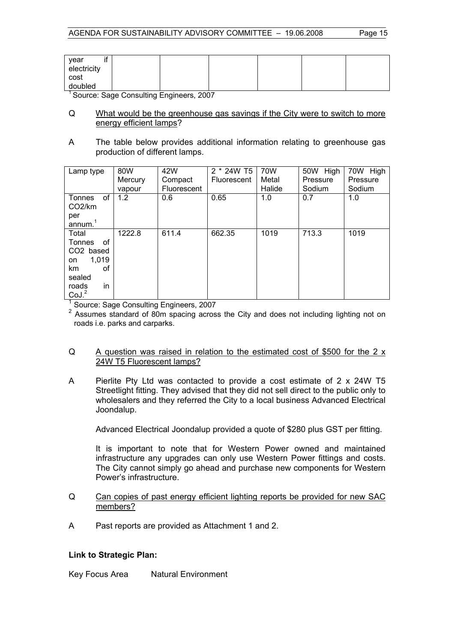| year<br>electricity<br>cost<br>doubled |  |  |  |
|----------------------------------------|--|--|--|

<sup>1</sup> Source: Sage Consulting Engineers, 2007

- Q What would be the greenhouse gas savings if the City were to switch to more energy efficient lamps?
- A The table below provides additional information relating to greenhouse gas production of different lamps.

| Lamp type                                                                                                  | 80W<br>Mercury<br>vapour | 42W<br>Compact<br><b>Fluorescent</b> | 2 * 24W T5<br><b>Fluorescent</b> | 70W<br>Metal<br>Halide | 50W High<br>Pressure<br>Sodium | 70W High<br>Pressure<br>Sodium |
|------------------------------------------------------------------------------------------------------------|--------------------------|--------------------------------------|----------------------------------|------------------------|--------------------------------|--------------------------------|
| of<br>Tonnes<br>CO <sub>2</sub> /km<br>per<br>annum. $1$                                                   | 1.2                      | 0.6                                  | 0.65                             | 1.0                    | 0.7                            | 1.0                            |
| Total<br>0f<br>Tonnes<br>CO2 based<br>1,019<br>on<br>οf<br>km<br>sealed<br>in<br>roads<br>CoJ <sup>2</sup> | 1222.8                   | 611.4                                | 662.35                           | 1019                   | 713.3                          | 1019                           |

<sup>1</sup> Source: Sage Consulting Engineers, 2007

<sup>2</sup> Assumes standard of 80m spacing across the City and does not including lighting not on roads i.e. parks and carparks.

#### Q A question was raised in relation to the estimated cost of \$500 for the 2 x 24W T5 Fluorescent lamps?

A Pierlite Pty Ltd was contacted to provide a cost estimate of 2 x 24W T5 Streetlight fitting. They advised that they did not sell direct to the public only to wholesalers and they referred the City to a local business Advanced Electrical Joondalup.

Advanced Electrical Joondalup provided a quote of \$280 plus GST per fitting.

 It is important to note that for Western Power owned and maintained infrastructure any upgrades can only use Western Power fittings and costs. The City cannot simply go ahead and purchase new components for Western Power's infrastructure.

- Q Can copies of past energy efficient lighting reports be provided for new SAC members?
- A Past reports are provided as Attachment 1 and 2.

#### **Link to Strategic Plan:**

Key Focus Area Natural Environment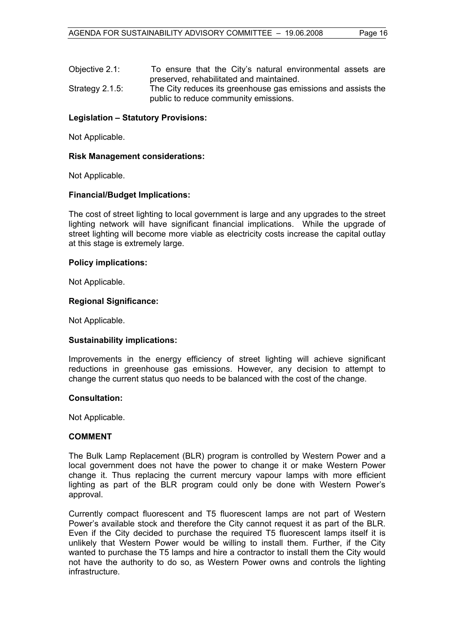| Objective 2.1:     | To ensure that the City's natural environmental assets are                                             |
|--------------------|--------------------------------------------------------------------------------------------------------|
|                    | preserved, rehabilitated and maintained.                                                               |
| Strategy $2.1.5$ : | The City reduces its greenhouse gas emissions and assists the<br>public to reduce community emissions. |

#### **Legislation – Statutory Provisions:**

Not Applicable.

#### **Risk Management considerations:**

Not Applicable.

#### **Financial/Budget Implications:**

The cost of street lighting to local government is large and any upgrades to the street lighting network will have significant financial implications. While the upgrade of street lighting will become more viable as electricity costs increase the capital outlay at this stage is extremely large.

#### **Policy implications:**

Not Applicable.

#### **Regional Significance:**

Not Applicable.

#### **Sustainability implications:**

Improvements in the energy efficiency of street lighting will achieve significant reductions in greenhouse gas emissions. However, any decision to attempt to change the current status quo needs to be balanced with the cost of the change.

#### **Consultation:**

Not Applicable.

#### **COMMENT**

The Bulk Lamp Replacement (BLR) program is controlled by Western Power and a local government does not have the power to change it or make Western Power change it. Thus replacing the current mercury vapour lamps with more efficient lighting as part of the BLR program could only be done with Western Power's approval.

Currently compact fluorescent and T5 fluorescent lamps are not part of Western Power's available stock and therefore the City cannot request it as part of the BLR. Even if the City decided to purchase the required T5 fluorescent lamps itself it is unlikely that Western Power would be willing to install them. Further, if the City wanted to purchase the T5 lamps and hire a contractor to install them the City would not have the authority to do so, as Western Power owns and controls the lighting infrastructure.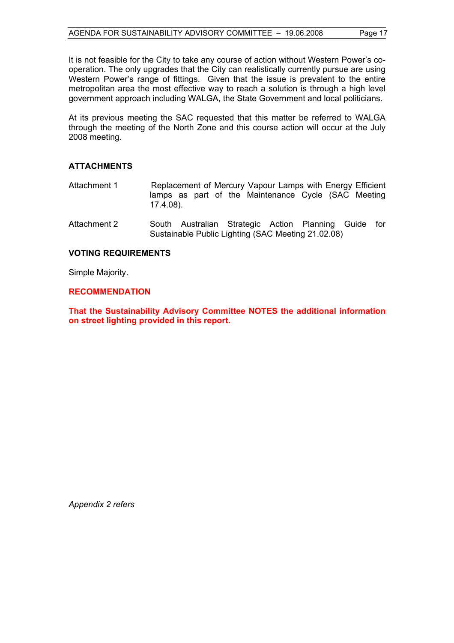It is not feasible for the City to take any course of action without Western Power's cooperation. The only upgrades that the City can realistically currently pursue are using Western Power's range of fittings. Given that the issue is prevalent to the entire metropolitan area the most effective way to reach a solution is through a high level government approach including WALGA, the State Government and local politicians.

At its previous meeting the SAC requested that this matter be referred to WALGA through the meeting of the North Zone and this course action will occur at the July 2008 meeting.

#### **ATTACHMENTS**

- Attachment 1 Replacement of Mercury Vapour Lamps with Energy Efficient lamps as part of the Maintenance Cycle (SAC Meeting 17.4.08).
- Attachment 2 South Australian Strategic Action Planning Guide for Sustainable Public Lighting (SAC Meeting 21.02.08)

#### **VOTING REQUIREMENTS**

Simple Majority.

#### **RECOMMENDATION**

**That the Sustainability Advisory Committee NOTES the additional information on street lighting provided in this report.** 

*Appendix 2 refers*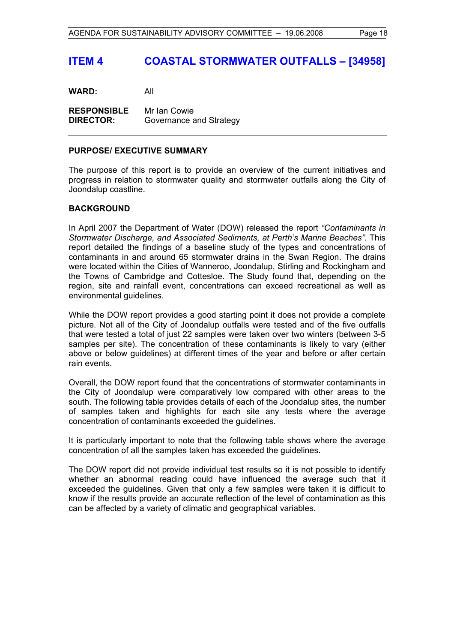**WARD:** All

**RESPONSIBLE** Mr Ian Cowie **DIRECTOR:** Governance and Strategy

#### **PURPOSE/ EXECUTIVE SUMMARY**

The purpose of this report is to provide an overview of the current initiatives and progress in relation to stormwater quality and stormwater outfalls along the City of Joondalup coastline.

#### **BACKGROUND**

In April 2007 the Department of Water (DOW) released the report *"Contaminants in Stormwater Discharge, and Associated Sediments, at Perth's Marine Beaches".* This report detailed the findings of a baseline study of the types and concentrations of contaminants in and around 65 stormwater drains in the Swan Region. The drains were located within the Cities of Wanneroo, Joondalup, Stirling and Rockingham and the Towns of Cambridge and Cottesloe. The Study found that, depending on the region, site and rainfall event, concentrations can exceed recreational as well as environmental guidelines.

While the DOW report provides a good starting point it does not provide a complete picture. Not all of the City of Joondalup outfalls were tested and of the five outfalls that were tested a total of just 22 samples were taken over two winters (between 3-5 samples per site). The concentration of these contaminants is likely to vary (either above or below guidelines) at different times of the year and before or after certain rain events.

Overall, the DOW report found that the concentrations of stormwater contaminants in the City of Joondalup were comparatively low compared with other areas to the south. The following table provides details of each of the Joondalup sites, the number of samples taken and highlights for each site any tests where the average concentration of contaminants exceeded the guidelines.

It is particularly important to note that the following table shows where the average concentration of all the samples taken has exceeded the guidelines.

The DOW report did not provide individual test results so it is not possible to identify whether an abnormal reading could have influenced the average such that it exceeded the guidelines. Given that only a few samples were taken it is difficult to know if the results provide an accurate reflection of the level of contamination as this can be affected by a variety of climatic and geographical variables.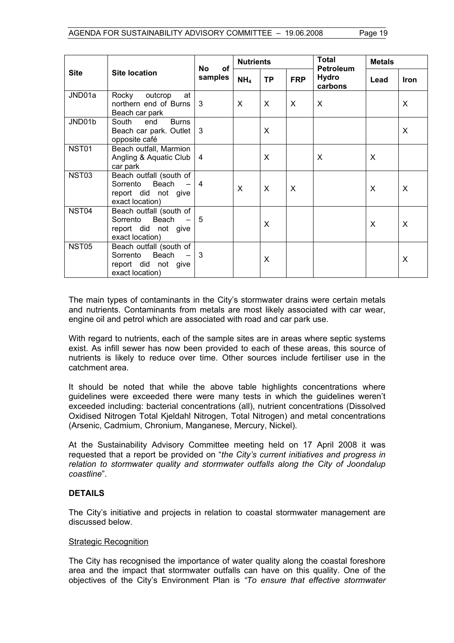| <b>Site</b>       | <b>Site location</b>                                                                   | <b>of</b>      | <b>Nutrients</b> |           |            | Total                                       | <b>Metals</b> |             |
|-------------------|----------------------------------------------------------------------------------------|----------------|------------------|-----------|------------|---------------------------------------------|---------------|-------------|
|                   |                                                                                        | No<br>samples  | NH <sub>4</sub>  | <b>TP</b> | <b>FRP</b> | <b>Petroleum</b><br><b>Hydro</b><br>carbons | Lead          | <b>Iron</b> |
| JND01a            | at<br>Rocky<br>outcrop<br>northern end of Burns<br>Beach car park                      | 3              | X                | X         | X          | X                                           |               | X           |
| JND01b            | South<br><b>Burns</b><br>end<br>Beach car park. Outlet<br>opposite café                | 3              |                  | X         |            |                                             |               | X           |
| NST01             | Beach outfall, Marmion<br>Angling & Aquatic Club<br>car park                           | $\overline{4}$ |                  | X         |            | X                                           | X             |             |
| NST <sub>03</sub> | Beach outfall (south of<br>Beach<br>Sorrento<br>report did not give<br>exact location) | $\overline{4}$ | X                | X         | X          |                                             | X             | X           |
| NST04             | Beach outfall (south of<br>Beach<br>Sorrento<br>report did not give<br>exact location) | 5              |                  | X         |            |                                             | X             | X           |
| NST <sub>05</sub> | Beach outfall (south of<br>Beach<br>Sorrento<br>report did not give<br>exact location) | 3              |                  | X         |            |                                             |               | X           |

The main types of contaminants in the City's stormwater drains were certain metals and nutrients. Contaminants from metals are most likely associated with car wear, engine oil and petrol which are associated with road and car park use.

With regard to nutrients, each of the sample sites are in areas where septic systems exist. As infill sewer has now been provided to each of these areas, this source of nutrients is likely to reduce over time. Other sources include fertiliser use in the catchment area.

It should be noted that while the above table highlights concentrations where guidelines were exceeded there were many tests in which the guidelines weren't exceeded including: bacterial concentrations (all), nutrient concentrations (Dissolved Oxidised Nitrogen Total Kjeldahl Nitrogen, Total Nitrogen) and metal concentrations (Arsenic, Cadmium, Chronium, Manganese, Mercury, Nickel).

At the Sustainability Advisory Committee meeting held on 17 April 2008 it was requested that a report be provided on "*the City's current initiatives and progress in relation to stormwater quality and stormwater outfalls along the City of Joondalup coastline*".

#### **DETAILS**

The City's initiative and projects in relation to coastal stormwater management are discussed below.

#### Strategic Recognition

The City has recognised the importance of water quality along the coastal foreshore area and the impact that stormwater outfalls can have on this quality. One of the objectives of the City's Environment Plan is *"To ensure that effective stormwater*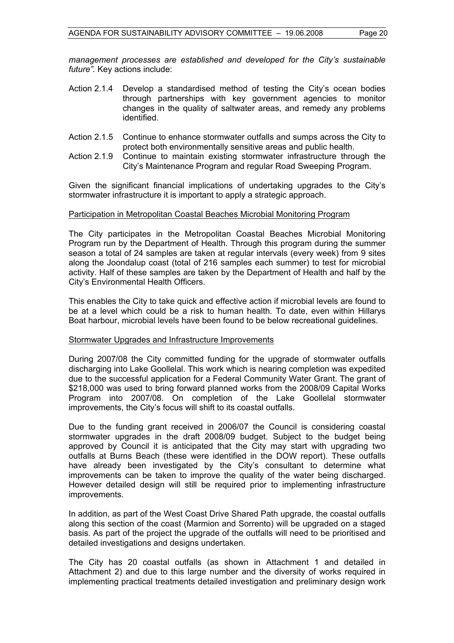*management processes are established and developed for the City's sustainable future".* Key actions include:

- Action 2.1.4 Develop a standardised method of testing the City's ocean bodies through partnerships with key government agencies to monitor changes in the quality of saltwater areas, and remedy any problems identified.
- Action 2.1.5 Continue to enhance stormwater outfalls and sumps across the City to protect both environmentally sensitive areas and public health.
- Action 2.1.9 Continue to maintain existing stormwater infrastructure through the City's Maintenance Program and regular Road Sweeping Program.

Given the significant financial implications of undertaking upgrades to the City's stormwater infrastructure it is important to apply a strategic approach.

#### Participation in Metropolitan Coastal Beaches Microbial Monitoring Program

The City participates in the Metropolitan Coastal Beaches Microbial Monitoring Program run by the Department of Health. Through this program during the summer season a total of 24 samples are taken at regular intervals (every week) from 9 sites along the Joondalup coast (total of 216 samples each summer) to test for microbial activity. Half of these samples are taken by the Department of Health and half by the City's Environmental Health Officers.

This enables the City to take quick and effective action if microbial levels are found to be at a level which could be a risk to human health. To date, even within Hillarys Boat harbour, microbial levels have been found to be below recreational guidelines.

#### Stormwater Upgrades and Infrastructure Improvements

During 2007/08 the City committed funding for the upgrade of stormwater outfalls discharging into Lake Goollelal. This work which is nearing completion was expedited due to the successful application for a Federal Community Water Grant. The grant of \$218,000 was used to bring forward planned works from the 2008/09 Capital Works Program into 2007/08. On completion of the Lake Goollelal stormwater improvements, the City's focus will shift to its coastal outfalls.

Due to the funding grant received in 2006/07 the Council is considering coastal stormwater upgrades in the draft 2008/09 budget. Subject to the budget being approved by Council it is anticipated that the City may start with upgrading two outfalls at Burns Beach (these were identified in the DOW report). These outfalls have already been investigated by the City's consultant to determine what improvements can be taken to improve the quality of the water being discharged. However detailed design will still be required prior to implementing infrastructure improvements.

In addition, as part of the West Coast Drive Shared Path upgrade, the coastal outfalls along this section of the coast (Marmion and Sorrento) will be upgraded on a staged basis. As part of the project the upgrade of the outfalls will need to be prioritised and detailed investigations and designs undertaken.

The City has 20 coastal outfalls (as shown in Attachment 1 and detailed in Attachment 2) and due to this large number and the diversity of works required in implementing practical treatments detailed investigation and preliminary design work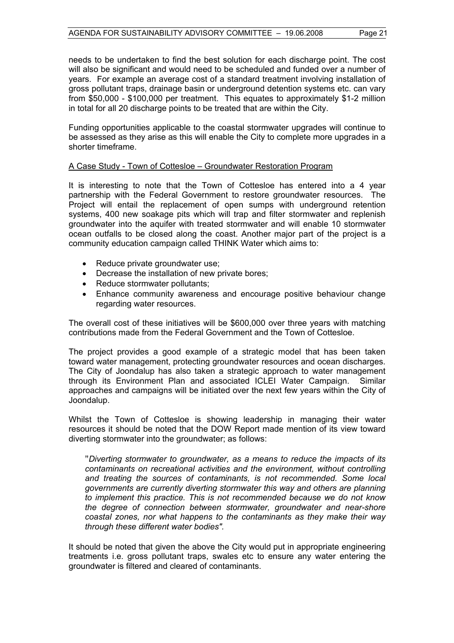needs to be undertaken to find the best solution for each discharge point. The cost will also be significant and would need to be scheduled and funded over a number of years. For example an average cost of a standard treatment involving installation of gross pollutant traps, drainage basin or underground detention systems etc. can vary from \$50,000 - \$100,000 per treatment. This equates to approximately \$1-2 million in total for all 20 discharge points to be treated that are within the City.

Funding opportunities applicable to the coastal stormwater upgrades will continue to be assessed as they arise as this will enable the City to complete more upgrades in a shorter timeframe.

#### A Case Study - Town of Cottesloe – Groundwater Restoration Program

It is interesting to note that the Town of Cottesloe has entered into a 4 year partnership with the Federal Government to restore groundwater resources. The Project will entail the replacement of open sumps with underground retention systems, 400 new soakage pits which will trap and filter stormwater and replenish groundwater into the aquifer with treated stormwater and will enable 10 stormwater ocean outfalls to be closed along the coast. Another major part of the project is a community education campaign called THINK Water which aims to:

- Reduce private groundwater use;
- Decrease the installation of new private bores;
- Reduce stormwater pollutants;
- Enhance community awareness and encourage positive behaviour change regarding water resources.

The overall cost of these initiatives will be \$600,000 over three years with matching contributions made from the Federal Government and the Town of Cottesloe.

The project provides a good example of a strategic model that has been taken toward water management, protecting groundwater resources and ocean discharges. The City of Joondalup has also taken a strategic approach to water management through its Environment Plan and associated ICLEI Water Campaign. Similar approaches and campaigns will be initiated over the next few years within the City of Joondalup.

Whilst the Town of Cottesloe is showing leadership in managing their water resources it should be noted that the DOW Report made mention of its view toward diverting stormwater into the groundwater; as follows:

"*Diverting stormwater to groundwater, as a means to reduce the impacts of its contaminants on recreational activities and the environment, without controlling and treating the sources of contaminants, is not recommended. Some local governments are currently diverting stormwater this way and others are planning to implement this practice. This is not recommended because we do not know the degree of connection between stormwater, groundwater and near-shore coastal zones, nor what happens to the contaminants as they make their way through these different water bodies".* 

It should be noted that given the above the City would put in appropriate engineering treatments i.e. gross pollutant traps, swales etc to ensure any water entering the groundwater is filtered and cleared of contaminants.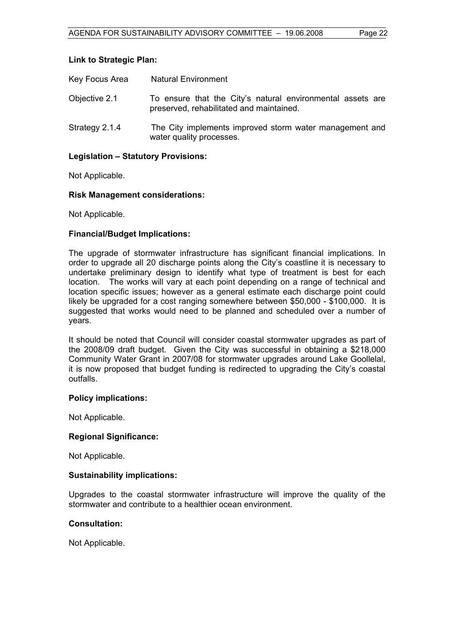#### **Link to Strategic Plan:**

| Key Focus Area | <b>Natural Environment</b>                                                                             |
|----------------|--------------------------------------------------------------------------------------------------------|
| Objective 2.1  | To ensure that the City's natural environmental assets are<br>preserved, rehabilitated and maintained. |
| Strategy 2.1.4 | The City implements improved storm water management and<br>water quality processes.                    |

#### **Legislation – Statutory Provisions:**

Not Applicable.

#### **Risk Management considerations:**

Not Applicable.

#### **Financial/Budget Implications:**

The upgrade of stormwater infrastructure has significant financial implications. In order to upgrade all 20 discharge points along the City's coastline it is necessary to undertake preliminary design to identify what type of treatment is best for each location. The works will vary at each point depending on a range of technical and location specific issues; however as a general estimate each discharge point could likely be upgraded for a cost ranging somewhere between \$50,000 - \$100,000. It is suggested that works would need to be planned and scheduled over a number of years.

It should be noted that Council will consider coastal stormwater upgrades as part of the 2008/09 draft budget. Given the City was successful in obtaining a \$218,000 Community Water Grant in 2007/08 for stormwater upgrades around Lake Goollelal, it is now proposed that budget funding is redirected to upgrading the City's coastal outfalls.

#### **Policy implications:**

Not Applicable.

#### **Regional Significance:**

Not Applicable.

#### **Sustainability implications:**

Upgrades to the coastal stormwater infrastructure will improve the quality of the stormwater and contribute to a healthier ocean environment.

#### **Consultation:**

Not Applicable.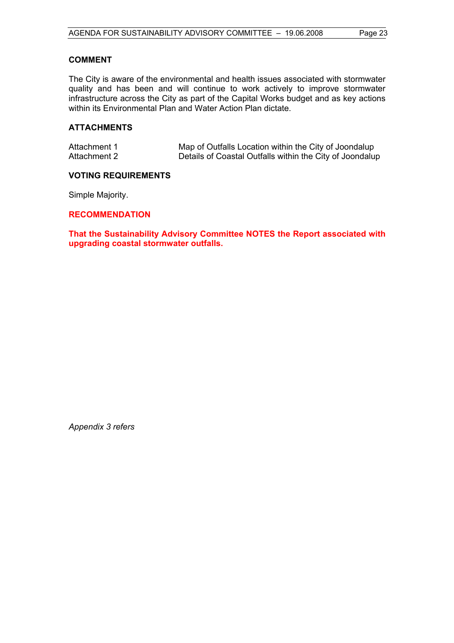#### **COMMENT**

The City is aware of the environmental and health issues associated with stormwater quality and has been and will continue to work actively to improve stormwater infrastructure across the City as part of the Capital Works budget and as key actions within its Environmental Plan and Water Action Plan dictate.

#### **ATTACHMENTS**

| Attachment 1 | Map of Outfalls Location within the City of Joondalup    |
|--------------|----------------------------------------------------------|
| Attachment 2 | Details of Coastal Outfalls within the City of Joondalup |

#### **VOTING REQUIREMENTS**

Simple Majority.

#### **RECOMMENDATION**

**That the Sustainability Advisory Committee NOTES the Report associated with upgrading coastal stormwater outfalls.** 

*Appendix 3 refers*